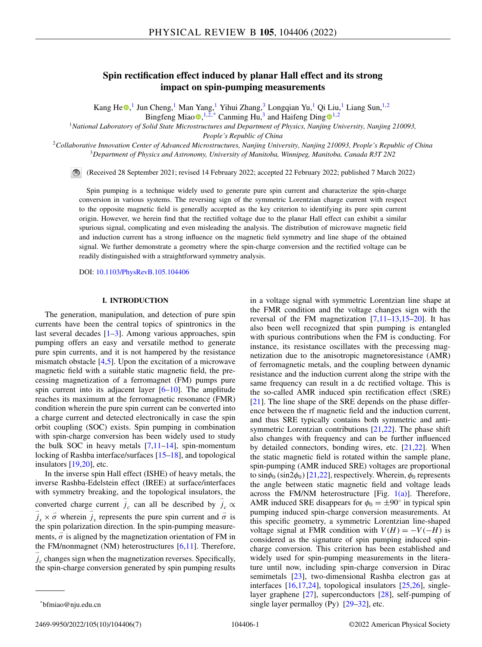# **Spin rectification effect induced by planar Hall effect and its strong impact on spin-pumping measurements**

Kang H[e](https://orcid.org/0000-0001-7661-412X) $\odot$ ,<sup>1</sup> Jun Cheng,<sup>1</sup> Man Yang,<sup>1</sup> Yihui Zhang,<sup>3</sup> Longqian Yu,<sup>1</sup> Qi Liu,<sup>1</sup> Liang Sun,<sup>1,2</sup> Bingfeng Mia[o](https://orcid.org/0000-0002-3089-0695)  $\bullet$ , <sup>[1](https://orcid.org/0000-0001-7524-0779),2,\*</sup> Canming Hu,<sup>3</sup> and Haifeng Ding  $\bullet$ <sup>1,2</sup>

<sup>1</sup>*National Laboratory of Solid State Microstructures and Department of Physics, Nanjing University, Nanjing 210093,*

*People's Republic of China*

<sup>2</sup>*Collaborative Innovation Center of Advanced Microstructures, Nanjing University, Nanjing 210093, People's Republic of China* <sup>3</sup>*Department of Physics and Astronomy, University of Manitoba, Winnipeg, Manitoba, Canada R3T 2N2*

(Received 28 September 2021; revised 14 February 2022; accepted 22 February 2022; published 7 March 2022)

Spin pumping is a technique widely used to generate pure spin current and characterize the spin-charge conversion in various systems. The reversing sign of the symmetric Lorentzian charge current with respect to the opposite magnetic field is generally accepted as the key criterion to identifying its pure spin current origin. However, we herein find that the rectified voltage due to the planar Hall effect can exhibit a similar spurious signal, complicating and even misleading the analysis. The distribution of microwave magnetic field and induction current has a strong influence on the magnetic field symmetry and line shape of the obtained signal. We further demonstrate a geometry where the spin-charge conversion and the rectified voltage can be readily distinguished with a straightforward symmetry analysis.

DOI: [10.1103/PhysRevB.105.104406](https://doi.org/10.1103/PhysRevB.105.104406)

# **I. INTRODUCTION**

The generation, manipulation, and detection of pure spin currents have been the central topics of spintronics in the last several decades  $[1-3]$ . Among various approaches, spin pumping offers an easy and versatile method to generate pure spin currents, and it is not hampered by the resistance mismatch obstacle [\[4,5\]](#page-5-0). Upon the excitation of a microwave magnetic field with a suitable static magnetic field, the precessing magnetization of a ferromagnet (FM) pumps pure spin current into its adjacent layer [\[6–10\]](#page-5-0). The amplitude reaches its maximum at the ferromagnetic resonance (FMR) condition wherein the pure spin current can be converted into a charge current and detected electronically in case the spin orbit coupling (SOC) exists. Spin pumping in combination with spin-charge conversion has been widely used to study the bulk SOC in heavy metals  $[7,11-14]$ , spin-momentum locking of Rashba interface/surfaces [\[15–18\]](#page-5-0), and topological insulators  $[19,20]$ , etc.

In the inverse spin Hall effect (ISHE) of heavy metals, the inverse Rashba-Edelstein effect (IREE) at surface/interfaces with symmetry breaking, and the topological insulators, the converted charge current  $\vec{j}_c$  can all be described by  $\vec{j}_c \propto$  $\vec{j}_s \times \vec{\sigma}$  wherein  $\vec{j}_s$  represents the pure spin current and  $\vec{\sigma}$  is the spin polarization direction. In the spin-pumping measurements,  $\vec{\sigma}$  is aligned by the magnetization orientation of FM in the FM/nonmagnet (NM) heterostructures  $[6,11]$ . Therefore, - *jc* changes sign when the magnetization reverses. Specifically, the spin-charge conversion generated by spin pumping results

2469-9950/2022/105(10)/104406(7) 104406-1 ©2022 American Physical Society

the FMR condition and the voltage changes sign with the reversal of the FM magnetization  $[7,11-13,15-20]$ . It has also been well recognized that spin pumping is entangled with spurious contributions when the FM is conducting. For instance, its resistance oscillates with the precessing magnetization due to the anisotropic magnetoresistance (AMR) of ferromagnetic metals, and the coupling between dynamic resistance and the induction current along the stripe with the same frequency can result in a dc rectified voltage. This is the so-called AMR induced spin rectification effect (SRE) [\[21\]](#page-5-0). The line shape of the SRE depends on the phase difference between the rf magnetic field and the induction current, and thus SRE typically contains both symmetric and anti-symmetric Lorentzian contributions [\[21,22\]](#page-5-0). The phase shift also changes with frequency and can be further influenced by detailed connectors, bonding wires, etc. [\[21,22\]](#page-5-0). When the static magnetic field is rotated within the sample plane, spin-pumping (AMR induced SRE) voltages are proportional to sin $\phi_0$  (sin2 $\phi_0$ ) [\[21,22\]](#page-5-0), respectively. Wherein,  $\phi_0$  represents the angle between static magnetic field and voltage leads across the FM/NM heterostructure [Fig.  $1(a)$ ]. Therefore, AMR induced SRE disappears for  $\phi_0 = \pm 90^\circ$  in typical spin pumping induced spin-charge conversion measurements. At this specific geometry, a symmetric Lorentzian line-shaped voltage signal at FMR condition with  $V(H) = -V(-H)$  is considered as the signature of spin pumping induced spincharge conversion. This criterion has been established and widely used for spin-pumping measurements in the literature until now, including spin-charge conversion in Dirac semimetals [\[23\]](#page-5-0), two-dimensional Rashba electron gas at interfaces [\[16,17,24\]](#page-5-0), topological insulators [\[25,26\]](#page-5-0), singlelayer graphene [\[27\]](#page-5-0), superconductors [\[28\]](#page-5-0), self-pumping of single layer permalloy  $(Py)$   $[29-32]$  $[29-32]$ , etc.

in a voltage signal with symmetric Lorentzian line shape at

<sup>\*</sup>bfmiao@nju.edu.cn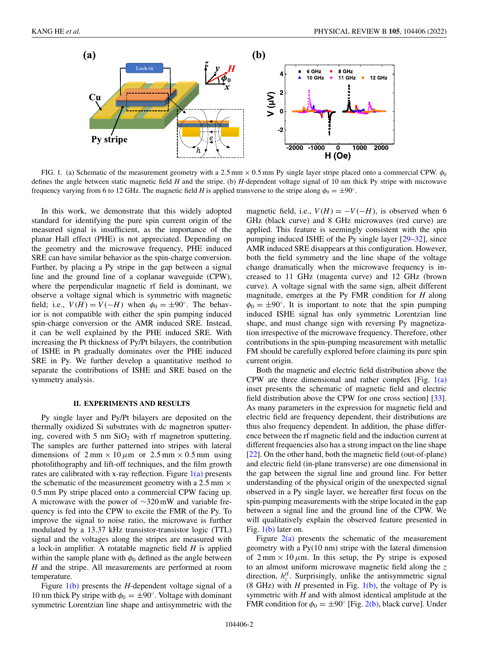<span id="page-1-0"></span>

FIG. 1. (a) Schematic of the measurement geometry with a 2.5 mm  $\times$  0.5 mm Py single layer stripe placed onto a commercial CPW.  $\phi_0$ defines the angle between static magnetic field *H* and the stripe. (b) *H*-dependent voltage signal of 10 nm thick Py stripe with microwave frequency varying from 6 to 12 GHz. The magnetic field *H* is applied transverse to the stripe along  $\phi_0 = \pm 90^\circ$ .

In this work, we demonstrate that this widely adopted standard for identifying the pure spin current origin of the measured signal is insufficient, as the importance of the planar Hall effect (PHE) is not appreciated. Depending on the geometry and the microwave frequency, PHE induced SRE can have similar behavior as the spin-charge conversion. Further, by placing a Py stripe in the gap between a signal line and the ground line of a coplanar waveguide (CPW), where the perpendicular magnetic rf field is dominant, we observe a voltage signal which is symmetric with magnetic field; i.e.,  $V(H) = V(-H)$  when  $\phi_0 = \pm 90^\circ$ . The behavior is not compatible with either the spin pumping induced spin-charge conversion or the AMR induced SRE. Instead, it can be well explained by the PHE induced SRE. With increasing the Pt thickness of Py/Pt bilayers, the contribution of ISHE in Pt gradually dominates over the PHE induced SRE in Py. We further develop a quantitative method to separate the contributions of ISHE and SRE based on the symmetry analysis.

## **II. EXPERIMENTS AND RESULTS**

Py single layer and Py/Pt bilayers are deposited on the thermally oxidized Si substrates with dc magnetron sputtering, covered with 5 nm  $SiO<sub>2</sub>$  with rf magnetron sputtering. The samples are further patterned into stripes with lateral dimensions of  $2 \text{ mm} \times 10 \mu \text{m}$  or  $2.5 \text{ mm} \times 0.5 \text{ mm}$  using photolithography and lift-off techniques, and the film growth rates are calibrated with x-ray reflection. Figure  $1(a)$  presents the schematic of the measurement geometry with a 2.5 mm  $\times$ 0.5 mm Py stripe placed onto a commercial CPW facing up. A microwave with the power of ∼320 mW and variable frequency is fed into the CPW to excite the FMR of the Py. To improve the signal to noise ratio, the microwave is further modulated by a 13.37 kHz transistor-transistor logic (TTL) signal and the voltages along the stripes are measured with a lock-in amplifier. A rotatable magnetic field *H* is applied within the sample plane with  $\phi_0$  defined as the angle between *H* and the stripe. All measurements are performed at room temperature.

Figure 1(b) presents the *H*-dependent voltage signal of a 10 nm thick Py stripe with  $\phi_0 = \pm 90^\circ$ . Voltage with dominant symmetric Lorentzian line shape and antisymmetric with the magnetic field, i.e.,  $V(H) = -V(-H)$ , is observed when 6 GHz (black curve) and 8 GHz microwaves (red curve) are applied. This feature is seemingly consistent with the spin pumping induced ISHE of the Py single layer [\[29](#page-5-0)[–32\]](#page-6-0), since AMR induced SRE disappears at this configuration. However, both the field symmetry and the line shape of the voltage change dramatically when the microwave frequency is increased to 11 GHz (magenta curve) and 12 GHz (brown curve). A voltage signal with the same sign, albeit different magnitude, emerges at the Py FMR condition for *H* along  $\phi_0 = \pm 90^\circ$ . It is important to note that the spin pumping induced ISHE signal has only symmetric Lorentzian line shape, and must change sign with reversing Py magnetization irrespective of the microwave frequency. Therefore, other contributions in the spin-pumping measurement with metallic FM should be carefully explored before claiming its pure spin current origin.

Both the magnetic and electric field distribution above the CPW are three dimensional and rather complex [Fig.  $1(a)$ ] inset presents the schematic of magnetic field and electric field distribution above the CPW for one cross section] [\[33\]](#page-6-0). As many parameters in the expression for magnetic field and electric field are frequency dependent, their distributions are thus also frequency dependent. In addition, the phase difference between the rf magnetic field and the induction current at different frequencies also has a strong impact on the line shape [\[22\]](#page-5-0). On the other hand, both the magnetic field (out-of-plane) and electric field (in-plane transverse) are one dimensional in the gap between the signal line and ground line. For better understanding of the physical origin of the unexpected signal observed in a Py single layer, we hereafter first focus on the spin-pumping measurements with the stripe located in the gap between a signal line and the ground line of the CPW. We will qualitatively explain the observed feature presented in Fig. 1(b) later on.

Figure  $2(a)$  presents the schematic of the measurement geometry with a Py(10 nm) stripe with the lateral dimension of  $2 \text{ mm} \times 10 \mu \text{m}$ . In this setup, the Py stripe is exposed to an almost uniform microwave magnetic field along the *z* direction,  $h_z^{\text{rf}}$ . Surprisingly, unlike the antisymmetric signal (8 GHz) with *H* presented in Fig.  $1(b)$ , the voltage of Py is symmetric with *H* and with almost identical amplitude at the FMR condition for  $\phi_0 = \pm 90^\circ$  [Fig. [2\(b\),](#page-2-0) black curve]. Under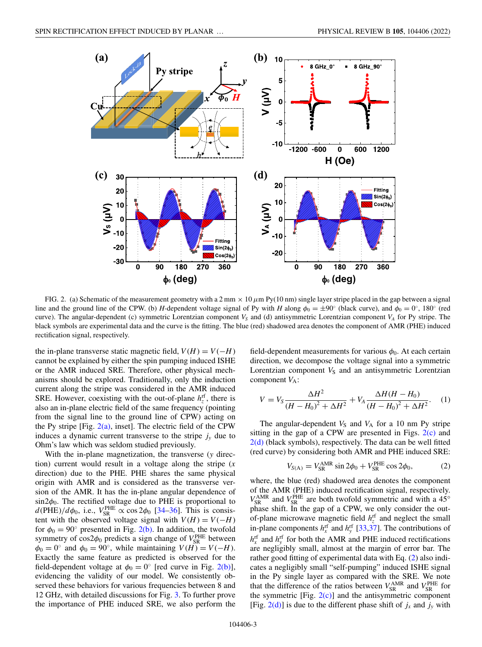<span id="page-2-0"></span>

FIG. 2. (a) Schematic of the measurement geometry with a  $2 \text{ mm} \times 10 \mu \text{m}$  Py(10 nm) single layer stripe placed in the gap between a signal line and the ground line of the CPW. (b) *H*-dependent voltage signal of Py with *H* along  $\phi_0 = \pm 90^\circ$  (black curve), and  $\phi_0 = 0^\circ$ , 180° (red curve). The angular-dependent (c) symmetric Lorentzian component  $V_s$  and (d) antisymmetric Lorentzian component  $V_A$  for Py stripe. The black symbols are experimental data and the curve is the fitting. The blue (red) shadowed area denotes the component of AMR (PHE) induced rectification signal, respectively.

the in-plane transverse static magnetic field,  $V(H) = V(-H)$ cannot be explained by either the spin pumping induced ISHE or the AMR induced SRE. Therefore, other physical mechanisms should be explored. Traditionally, only the induction current along the stripe was considered in the AMR induced SRE. However, coexisting with the out-of-plane  $h_z^{\text{rf}}$ , there is also an in-plane electric field of the same frequency (pointing from the signal line to the ground line of CPW) acting on the Py stripe [Fig.  $2(a)$ , inset]. The electric field of the CPW induces a dynamic current transverse to the stripe  $j<sub>y</sub>$  due to Ohm's law which was seldom studied previously.

With the in-plane magnetization, the transverse (*y* direction) current would result in a voltage along the stripe (*x* direction) due to the PHE. PHE shares the same physical origin with AMR and is considered as the transverse version of the AMR. It has the in-plane angular dependence of  $\sin 2\phi_0$ . The rectified voltage due to PHE is proportional to  $d$ (PHE)/ $d\phi_0$ , i.e.,  $V_{SR}^{PHE} \propto \cos 2\phi_0$  [\[34–36\]](#page-6-0). This is consistent with the observed voltage signal with  $V(H) = V(-H)$ for  $\phi_0 = 90^\circ$  presented in Fig. 2(b). In addition, the twofold symmetry of  $cos 2\phi_0$  predicts a sign change of  $V_{SR}^{PHE}$  between  $\phi_0 = 0$ ° and  $\phi_0 = 90$ °, while maintaining  $V(H) = V(-H)$ . Exactly the same feature as predicted is observed for the field-dependent voltage at  $\phi_0 = 0^\circ$  [red curve in Fig. 2(b)], evidencing the validity of our model. We consistently observed these behaviors for various frequencies between 8 and 12 GHz, with detailed discussions for Fig. [3.](#page-3-0) To further prove the importance of PHE induced SRE, we also perform the

field-dependent measurements for various  $\phi_0$ . At each certain direction, we decompose the voltage signal into a symmetric Lorentzian component  $V<sub>S</sub>$  and an antisymmetric Lorentzian component  $V_A$ :

$$
V = V_S \frac{\Delta H^2}{(H - H_0)^2 + \Delta H^2} + V_A \frac{\Delta H (H - H_0)}{(H - H_0)^2 + \Delta H^2}.
$$
 (1)

The angular-dependent  $V<sub>S</sub>$  and  $V<sub>A</sub>$  for a 10 nm Py stripe sitting in the gap of a CPW are presented in Figs.  $2(c)$  and  $2(d)$  (black symbols), respectively. The data can be well fitted (red curve) by considering both AMR and PHE induced SRE:

$$
V_{\text{S(A)}} = V_{\text{SR}}^{\text{AMR}} \sin 2\phi_0 + V_{\text{SR}}^{\text{PHE}} \cos 2\phi_0, \tag{2}
$$

where, the blue (red) shadowed area denotes the component of the AMR (PHE) induced rectification signal, respectively.  $V_{SR}^{\text{AMR}}$  and  $V_{SR}^{\text{PHE}}$  are both twofold symmetric and with a 45° phase shift. In the gap of a CPW, we only consider the outof-plane microwave magnetic field  $h_z^{\text{rf}}$  and neglect the small in-plane components  $h_{x}^{rf}$  and  $h_{y}^{rf}$  [\[33,37\]](#page-6-0). The contributions of  $h_{x}^{\text{rf}}$  and  $h_{y}^{\text{rf}}$  for both the AMR and PHE induced rectifications are negligibly small, almost at the margin of error bar. The rather good fitting of experimental data with Eq. (2) also indicates a negligibly small "self-pumping" induced ISHE signal in the Py single layer as compared with the SRE. We note that the difference of the ratios between  $V_{SR}^{AMR}$  and  $V_{SR}^{PHE}$  for the symmetric  $[Fig. 2(c)]$  and the antisymmetric component [Fig.  $2(d)$ ] is due to the different phase shift of  $j_x$  and  $j_y$  with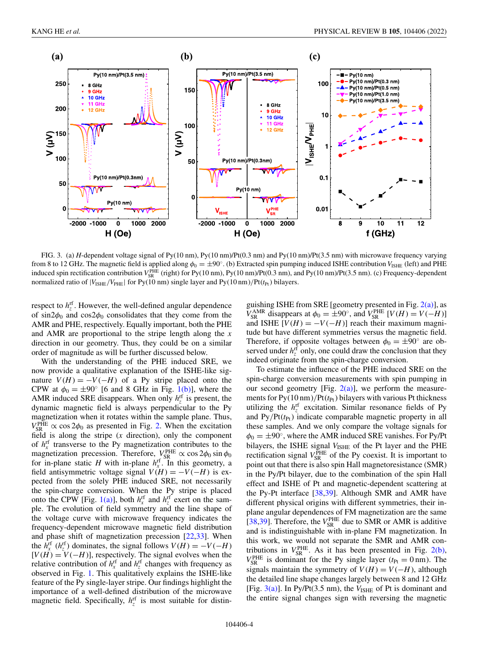<span id="page-3-0"></span>

FIG. 3. (a) *H*-dependent voltage signal of Py(10 nm), Py(10 nm)/Pt(0.3 nm) and Py(10 nm)/Pt(3.5 nm) with microwave frequency varying from 8 to 12 GHz. The magnetic field is applied along  $\phi_0 = \pm 90^\circ$ . (b) Extracted spin pumping induced ISHE contribution  $V_{\text{ISHE}}$  (left) and PHE induced spin rectification contribution  $V_{SR}^{\text{PHE}}$  (right) for Py(10 nm), Py(10 nm)/Pt(0.3 nm), and Py(10 nm)/Pt(3.5 nm). (c) Frequency-dependent normalized ratio of  $|V_{\text{ISHE}}/V_{\text{PHE}}|$  for Py(10 nm) single layer and Py(10 nm)/Pt( $t_{\text{Pt}}$ ) bilayers.

respect to  $h_z^{\text{rf}}$ . However, the well-defined angular dependence of sin2 $\phi_0$  and cos2 $\phi_0$  consolidates that they come from the AMR and PHE, respectively. Equally important, both the PHE and AMR are proportional to the stripe length along the *x* direction in our geometry. Thus, they could be on a similar order of magnitude as will be further discussed below.

With the understanding of the PHE induced SRE, we now provide a qualitative explanation of the ISHE-like signature  $V(H) = -V(-H)$  of a Py stripe placed onto the CPW at  $\phi_0 = \pm 90^\circ$  [6 and 8 GHz in Fig. [1\(b\)\]](#page-1-0), where the AMR induced SRE disappears. When only  $h_z^{\text{rf}}$  is present, the dynamic magnetic field is always perpendicular to the Py magnetization when it rotates within the sample plane. Thus,  $V_{SR}^{PHE} \propto \cos 2\phi_0$  as presented in Fig. [2.](#page-2-0) When the excitation field is along the stripe (*x* direction), only the component of  $h_x^{\text{rf}}$  transverse to the Py magnetization contributes to the magnetization precession. Therefore,  $V_{\rm SR}^{\rm PHE} \propto \cos 2\phi_0 \sin \phi_0$ for in-plane static *H* with in-plane  $h_x^{\text{rf}}$ . In this geometry, a field antisymmetric voltage signal  $V(H) = -V(-H)$  is expected from the solely PHE induced SRE, not necessarily the spin-charge conversion. When the Py stripe is placed onto the CPW [Fig. [1\(a\)\]](#page-1-0), both  $h_x^{\text{rf}}$  and  $h_z^{\text{rf}}$  exert on the sample. The evolution of field symmetry and the line shape of the voltage curve with microwave frequency indicates the frequency-dependent microwave magnetic field distribution and phase shift of magnetization precession [\[22,](#page-5-0)[33\]](#page-6-0). When the  $h_{\overline{x}}^{\text{rf}}$  ( $h_{\overline{z}}^{\text{rf}}$ ) dominates, the signal follows  $V(H) = -V(-H)$  $[V(H) = V(-H)]$ , respectively. The signal evolves when the relative contribution of  $h_x^{\text{rf}}$  and  $h_z^{\text{rf}}$  changes with frequency as observed in Fig. [1.](#page-1-0) This qualitatively explains the ISHE-like feature of the Py single-layer stripe. Our findings highlight the importance of a well-defined distribution of the microwave magnetic field. Specifically,  $h_z^{\text{rf}}$  is most suitable for distinguishing ISHE from SRE [geometry presented in Fig.  $2(a)$ ], as  $V_{SR}^{AMR}$  disappears at  $\phi_0 = \pm 90^\circ$ , and  $V_{SR}^{PHE}$  [*V*(*H*) = *V*(−*H*)] and ISHE  $[V(H) = -V(-H)]$  reach their maximum magnitude but have different symmetries versus the magnetic field. Therefore, if opposite voltages between  $\phi_0 = \pm 90^\circ$  are observed under  $h_z^{\text{rf}}$  only, one could draw the conclusion that they indeed originate from the spin-charge conversion.

To estimate the influence of the PHE induced SRE on the spin-charge conversion measurements with spin pumping in our second geometry [Fig.  $2(a)$ ], we perform the measurements for  $Py(10 \text{ nm})/Pt(t_{Pt})$  bilayers with various Pt thickness utilizing the  $h_z^{\text{rf}}$  excitation. Similar resonance fields of Py and Py/Pt( $t_{Pt}$ ) indicate comparable magnetic property in all these samples. And we only compare the voltage signals for  $\phi_0 = \pm 90^\circ$ , where the AMR induced SRE vanishes. For Py/Pt bilayers, the ISHE signal  $V_{\text{ISHE}}$  of the Pt layer and the PHE rectification signal  $V_{SR}^{\text{PHE}}$  of the Py coexist. It is important to point out that there is also spin Hall magnetoresistance (SMR) in the Py/Pt bilayer, due to the combination of the spin Hall effect and ISHE of Pt and magnetic-dependent scattering at the Py-Pt interface [\[38,39\]](#page-6-0). Although SMR and AMR have different physical origins with different symmetries, their inplane angular dependences of FM magnetization are the same [\[38,39\]](#page-6-0). Therefore, the  $V_{SR}^{\text{PHE}}$  due to SMR or AMR is additive and is indistinguishable with in-plane FM magnetization. In this work, we would not separate the SMR and AMR contributions in  $V_{SR}^{PHE}$ . As it has been presented in Fig. [2\(b\),](#page-2-0)  $V_{SR}^{PHE}$  is dominant for the Py single layer ( $t_{Pt} = 0$  nm). The signals maintain the symmetry of  $V(H) = V(-H)$ , although the detailed line shape changes largely between 8 and 12 GHz [Fig.  $3(a)$ ]. In Py/Pt(3.5 nm), the  $V_{\text{ISHE}}$  of Pt is dominant and the entire signal changes sign with reversing the magnetic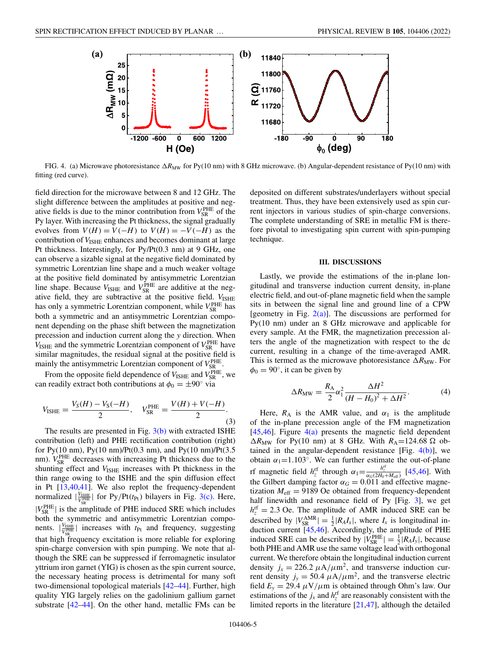

FIG. 4. (a) Microwave photoresistance  $\Delta R_{\text{MW}}$  for Py(10 nm) with 8 GHz microwave. (b) Angular-dependent resistance of Py(10 nm) with fitting (red curve).

field direction for the microwave between 8 and 12 GHz. The slight difference between the amplitudes at positive and negative fields is due to the minor contribution from  $V_{SR}^{PHE}$  of the Py layer. With increasing the Pt thickness, the signal gradually evolves from  $V(H) = V(-H)$  to  $V(H) = -V(-H)$  as the contribution of  $V_{\text{ISHE}}$  enhances and becomes dominant at large Pt thickness. Interestingly, for Py/Pt(0.3 nm) at 9 GHz, one can observe a sizable signal at the negative field dominated by symmetric Lorentzian line shape and a much weaker voltage at the positive field dominated by antisymmetric Lorentzian line shape. Because  $V_{\text{ISHE}}$  and  $V_{\text{SR}}^{\text{PHE}}$  are additive at the negative field, they are subtractive at the positive field.  $V_{\text{ISHE}}$ has only a symmetric Lorentzian component, while  $V_{\rm SR}^{\rm PHE}$  has both a symmetric and an antisymmetric Lorentzian component depending on the phase shift between the magnetization precession and induction current along the *y* direction. When  $V_{\text{ISHE}}$  and the symmetric Lorentzian component of  $V_{\text{SR}}^{\text{PHE}}$  have similar magnitudes, the residual signal at the positive field is mainly the antisymmetric Lorentzian component of  $V_{SR}^{PHE}$ .

From the opposite field dependence of  $V_{\text{ISHE}}$  and  $V_{\text{SR}}^{\text{PHE}}$ , we can readily extract both contributions at  $\phi_0 = \pm 90^\circ$  via

$$
V_{\text{ISHE}} = \frac{V_{\text{S}}(H) - V_{\text{S}}(-H)}{2}, \quad V_{\text{SR}}^{\text{PHE}} = \frac{V(H) + V(-H)}{2}.
$$
\n(3)

The results are presented in Fig. [3\(b\)](#page-3-0) with extracted ISHE contribution (left) and PHE rectification contribution (right) for Py(10 nm), Py(10 nm)/Pt(0.3 nm), and Py(10 nm)/Pt(3.5 nm).  $V_{SR}^{PHE}$  decreases with increasing Pt thickness due to the shunting effect and  $V_{\text{ISHE}}$  increases with Pt thickness in the thin range owing to the ISHE and the spin diffusion effect in Pt [\[13](#page-5-0)[,40,41\]](#page-6-0). We also replot the frequency-dependent normalized  $|\frac{V_{\text{ISHE}}}{V_{\text{S}}^{\text{PIHE}}}|\right.$  for Py/Pt( $t_{\text{Pt}}$ ) bilayers in Fig. [3\(c\).](#page-3-0) Here,  $|V_{SR}^{PHE}|$  is the amplitude of PHE induced SRE which includes both the symmetric and antisymmetric Lorentzian components.  $|V_{\text{V}^{\text{HEE}}_{\text{R}}}|$  increases with  $t_{\text{Pt}}$  and frequency, suggesting that high frequency excitation is more reliable for exploring spin-charge conversion with spin pumping. We note that although the SRE can be suppressed if ferromagnetic insulator yttrium iron garnet (YIG) is chosen as the spin current source, the necessary heating process is detrimental for many soft two-dimensional topological materials [\[42–44\]](#page-6-0). Further, high quality YIG largely relies on the gadolinium gallium garnet substrate [\[42–44\]](#page-6-0). On the other hand, metallic FMs can be deposited on different substrates/underlayers without special treatment. Thus, they have been extensively used as spin current injectors in various studies of spin-charge conversions. The complete understanding of SRE in metallic FM is therefore pivotal to investigating spin current with spin-pumping technique.

#### **III. DISCUSSIONS**

Lastly, we provide the estimations of the in-plane longitudinal and transverse induction current density, in-plane electric field, and out-of-plane magnetic field when the sample sits in between the signal line and ground line of a CPW [geometry in Fig.  $2(a)$ ]. The discussions are performed for Py(10 nm) under an 8 GHz microwave and applicable for every sample. At the FMR, the magnetization precession alters the angle of the magnetization with respect to the dc current, resulting in a change of the time-averaged AMR. This is termed as the microwave photoresistance  $\Delta R_{\text{MW}}$ . For  $\phi_0 = 90^\circ$ , it can be given by

$$
\Delta R_{\rm MW} = \frac{R_{\rm A}}{2} \alpha_1^2 \frac{\Delta H^2}{(H - H_0)^2 + \Delta H^2}.
$$
 (4)

Here,  $R_A$  is the AMR value, and  $\alpha_1$  is the amplitude of the in-plane precession angle of the FM magnetization [\[45,46\]](#page-6-0). Figure  $4(a)$  presents the magnetic field dependent  $\Delta R_{\text{MW}}$  for Py(10 nm) at 8 GHz. With  $R_{\text{A}} = 124.68 \Omega$  obtained in the angular-dependent resistance [Fig.  $4(b)$ ], we obtain  $\alpha_1 = 1.103^\circ$ . We can further estimate the out-of-plane rf magnetic field  $h_z^{\text{rf}}$  through  $\alpha_1 = \frac{h_z^{\text{rf}}}{\alpha_G(2H_0 + M_{\text{eff}})}$  [\[45,46\]](#page-6-0). With the Gilbert damping factor  $\alpha_G = 0.011$  and effective magnetization  $M_{\text{eff}} = 9189$  Oe obtained from frequency-dependent half linewidth and resonance field of Py [Fig. [3\]](#page-3-0), we get  $h_z^{\text{rf}} = 2.3$  Oe. The amplitude of AMR induced SRE can be described by  $|V_{SR}^{AMR}| = \frac{1}{2} |R_A I_x|$ , where  $I_x$  is longitudinal induction current [\[45,46\]](#page-6-0). Accordingly, the amplitude of PHE induced SRE can be described by  $|V_{SR}^{\text{PHE}}| = \frac{1}{2} |R_A I_y|$ , because both PHE and AMR use the same voltage lead with orthogonal current. We therefore obtain the longitudinal induction current density  $j_x = 226.2 \mu A/\mu m^2$ , and transverse induction current density  $j_y = 50.4 \ \mu A/\mu m^2$ , and the transverse electric field  $E_y = 29.4 \mu V / \mu m$  is obtained through Ohm's law. Our estimations of the  $j_x$  and  $h_z^{\text{rf}}$  are reasonably consistent with the limited reports in the literature  $[21,47]$  $[21,47]$ , although the detailed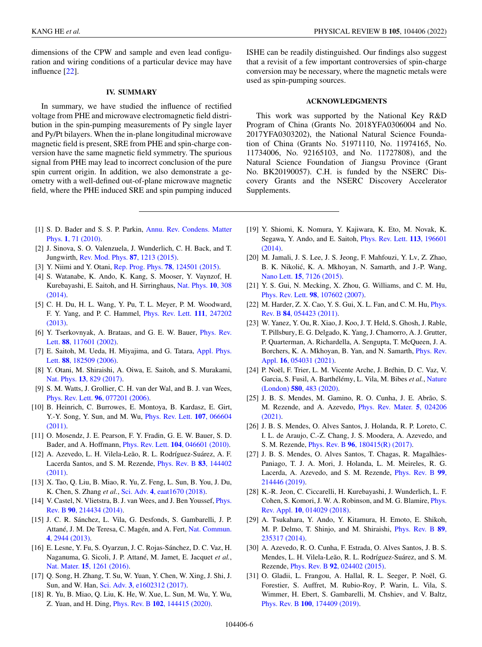<span id="page-5-0"></span>dimensions of the CPW and sample and even lead configuration and wiring conditions of a particular device may have influence [22].

## **IV. SUMMARY**

In summary, we have studied the influence of rectified voltage from PHE and microwave electromagnetic field distribution in the spin-pumping measurements of Py single layer and Py/Pt bilayers. When the in-plane longitudinal microwave magnetic field is present, SRE from PHE and spin-charge conversion have the same magnetic field symmetry. The spurious signal from PHE may lead to incorrect conclusion of the pure spin current origin. In addition, we also demonstrate a geometry with a well-defined out-of-plane microwave magnetic field, where the PHE induced SRE and spin pumping induced

- [1] [S. D. Bader and S. S. P. Parkin,](https://doi.org/10.1146/annurev-conmatphys-070909-104123) Annu. Rev. Condens. Matter Phys. **1**, 71 (2010).
- [2] J. Sinova, S. O. Valenzuela, J. Wunderlich, C. H. Back, and T. Jungwirth, [Rev. Mod. Phys.](https://doi.org/10.1103/RevModPhys.87.1213) **87**, 1213 (2015).
- [3] Y. Niimi and Y. Otani, [Rep. Prog. Phys.](https://doi.org/10.1088/0034-4885/78/12/124501) **78**, 124501 (2015).
- [4] S. Watanabe, K. Ando, K. Kang, S. Mooser, Y. Vaynzof, H. [Kurebayashi, E. Saitoh, and H. Sirringhaus,](https://doi.org/10.1038/nphys2901) Nat. Phys. **10**, 308 (2014).
- [5] C. H. Du, H. L. Wang, Y. Pu, T. L. Meyer, P. M. Woodward, [F. Y. Yang, and P. C. Hammel,](https://doi.org/10.1103/PhysRevLett.111.247202) Phys. Rev. Lett. **111**, 247202 (2013).
- [6] [Y. Tserkovnyak, A. Brataas, and G. E. W. Bauer,](https://doi.org/10.1103/PhysRevLett.88.117601) Phys. Rev. Lett. **88**, 117601 (2002).
- [7] [E. Saitoh, M. Ueda, H. Miyajima, and G. Tatara,](https://doi.org/10.1063/1.2199473) Appl. Phys. Lett. **88**, 182509 (2006).
- [8] Y. Otani, M. Shiraishi, A. Oiwa, E. Saitoh, and S. Murakami, Nat. Phys. **13**[, 829 \(2017\).](https://doi.org/10.1038/nphys4192)
- [9] S. M. Watts, J. Grollier, C. H. van der Wal, and B. J. van Wees, Phys. Rev. Lett. **96**[, 077201 \(2006\).](https://doi.org/10.1103/PhysRevLett.96.077201)
- [10] B. Heinrich, C. Burrowes, E. Montoya, B. Kardasz, E. Girt, [Y.-Y. Song, Y. Sun, and M. Wu,](https://doi.org/10.1103/PhysRevLett.107.066604) Phys. Rev. Lett. **107**, 066604 (2011).
- [11] O. Mosendz, J. E. Pearson, F. Y. Fradin, G. E. W. Bauer, S. D. Bader, and A. Hoffmann, Phys. Rev. Lett. **104**[, 046601 \(2010\).](https://doi.org/10.1103/PhysRevLett.104.046601)
- [12] A. Azevedo, L. H. Vilela-Leão, R. L. Rodríguez-Suárez, A. F. [Lacerda Santos, and S. M. Rezende,](https://doi.org/10.1103/PhysRevB.83.144402) Phys. Rev. B **83**, 144402 (2011).
- [13] X. Tao, Q. Liu, B. Miao, R. Yu, Z. Feng, L. Sun, B. You, J. Du, K. Chen, S. Zhang *et al.*, Sci. Adv. **4**[, eaat1670 \(2018\).](https://doi.org/10.1126/sciadv.aat1670)
- [14] [V. Castel, N. Vlietstra, B. J. van Wees, and J. Ben Youssef,](https://doi.org/10.1103/PhysRevB.90.214434) Phys. Rev. B **90**, 214434 (2014).
- [15] J. C. R. Sánchez, L. Vila, G. Desfonds, S. Gambarelli, J. P. [Attané, J. M. De Teresa, C. Magén, and A. Fert,](https://doi.org/10.1038/ncomms3944) Nat. Commun. **4**, 2944 (2013).
- [16] E. Lesne, Y. Fu, S. Oyarzun, J. C. Rojas-Sánchez, D. C. Vaz, H. Naganuma, G. Sicoli, J. P. Attané, M. Jamet, E. Jacquet *et al.*, Nat. Mater. **15**[, 1261 \(2016\).](https://doi.org/10.1038/nmat4726)
- [17] Q. Song, H. Zhang, T. Su, W. Yuan, Y. Chen, W. Xing, J. Shi, J. Sun, and W. Han, Sci. Adv. **3**[, e1602312 \(2017\).](https://doi.org/10.1126/sciadv.1602312)
- [18] R. Yu, B. Miao, Q. Liu, K. He, W. Xue, L. Sun, M. Wu, Y. Wu, Z. Yuan, and H. Ding, Phys. Rev. B **102**[, 144415 \(2020\).](https://doi.org/10.1103/PhysRevB.102.144415)

ISHE can be readily distinguished. Our findings also suggest that a revisit of a few important controversies of spin-charge conversion may be necessary, where the magnetic metals were used as spin-pumping sources.

## **ACKNOWLEDGMENTS**

This work was supported by the National Key R&D Program of China (Grants No. 2018YFA0306004 and No. 2017YFA0303202), the National Natural Science Foundation of China (Grants No. 51971110, No. 11974165, No. 11734006, No. 92165103, and No. 11727808), and the Natural Science Foundation of Jiangsu Province (Grant No. BK20190057). C.H. is funded by the NSERC Discovery Grants and the NSERC Discovery Accelerator Supplements.

- [19] Y. Shiomi, K. Nomura, Y. Kajiwara, K. Eto, M. Novak, K. [Segawa, Y. Ando, and E. Saitoh,](https://doi.org/10.1103/PhysRevLett.113.196601) Phys. Rev. Lett. **113**, 196601 (2014).
- [20] M. Jamali, J. S. Lee, J. S. Jeong, F. Mahfouzi, Y. Lv, Z. Zhao, B. K. Nikolić, K. A. Mkhoyan, N. Samarth, and J.-P. Wang, Nano Lett. **15**[, 7126 \(2015\).](https://doi.org/10.1021/acs.nanolett.5b03274)
- [21] Y. S. Gui, N. Mecking, X. Zhou, G. Williams, and C. M. Hu, Phys. Rev. Lett. **98**[, 107602 \(2007\).](https://doi.org/10.1103/PhysRevLett.98.107602)
- [22] [M. Harder, Z. X. Cao, Y. S. Gui, X. L. Fan, and C. M. Hu,](https://doi.org/10.1103/PhysRevB.84.054423) Phys. Rev. B **84**, 054423 (2011).
- [23] W. Yanez, Y. Ou, R. Xiao, J. Koo, J. T. Held, S. Ghosh, J. Rable, T. Pillsbury, E. G. Delgado, K. Yang, J. Chamorro, A. J. Grutter, P. Quarterman, A. Richardella, A. Sengupta, T. McQueen, J. A. [Borchers, K. A. Mkhoyan, B. Yan, and N. Samarth,](https://doi.org/10.1103/PhysRevApplied.16.054031) Phys. Rev. Appl. **16**, 054031 (2021).
- [24] P. Noël, F. Trier, L. M. Vicente Arche, J. Bréhin, D. C. Vaz, V. [Garcia, S. Fusil, A. Barthélémy, L. Vila, M. Bibes](https://doi.org/10.1038/s41586-020-2197-9) *et al.*, Nature (London) **580**, 483 (2020).
- [25] J. B. S. Mendes, M. Gamino, R. O. Cunha, J. E. Abrão, S. [M. Rezende, and A. Azevedo,](https://doi.org/10.1103/PhysRevMaterials.5.024206) Phys. Rev. Mater. **5**, 024206 (2021).
- [26] J. B. S. Mendes, O. Alves Santos, J. Holanda, R. P. Loreto, C. I. L. de Araujo, C.-Z. Chang, J. S. Moodera, A. Azevedo, and S. M. Rezende, Phys. Rev. B **96**[, 180415\(R\) \(2017\).](https://doi.org/10.1103/PhysRevB.96.180415)
- [27] J. B. S. Mendes, O. Alves Santos, T. Chagas, R. Magalhães-Paniago, T. J. A. Mori, J. Holanda, L. M. Meireles, R. G. [Lacerda, A. Azevedo, and S. M. Rezende,](https://doi.org/10.1103/PhysRevB.99.214446) Phys. Rev. B **99**, 214446 (2019).
- [28] K.-R. Jeon, C. Ciccarelli, H. Kurebayashi, J. Wunderlich, L. F. [Cohen, S. Komori, J. W. A. Robinson, and M. G. Blamire,](https://doi.org/10.1103/PhysRevApplied.10.014029) Phys. Rev. Appl. **10**, 014029 (2018).
- [29] A. Tsukahara, Y. Ando, Y. Kitamura, H. Emoto, E. Shikoh, [M. P. Delmo, T. Shinjo, and M. Shiraishi,](https://doi.org/10.1103/PhysRevB.89.235317) Phys. Rev. B **89**, 235317 (2014).
- [30] A. Azevedo, R. O. Cunha, F. Estrada, O. Alves Santos, J. B. S. Mendes, L. H. Vilela-Leão, R. L. Rodríguez-Suárez, and S. M. Rezende, Phys. Rev. B **92**[, 024402 \(2015\).](https://doi.org/10.1103/PhysRevB.92.024402)
- [31] O. Gladii, L. Frangou, A. Hallal, R. L. Seeger, P. Noël, G. Forestier, S. Auffret, M. Rubio-Roy, P. Warin, L. Vila, S. Wimmer, H. Ebert, S. Gambarelli, M. Chshiev, and V. Baltz, Phys. Rev. B **100**[, 174409 \(2019\).](https://doi.org/10.1103/PhysRevB.100.174409)